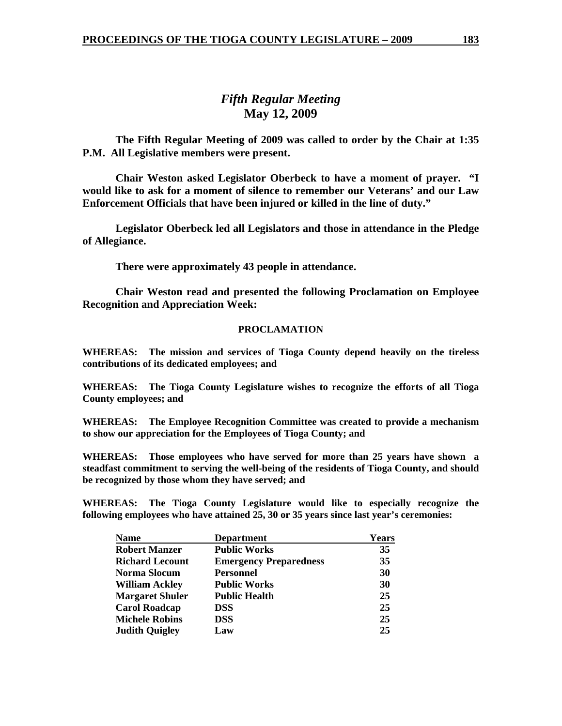# *Fifth Regular Meeting*  **May 12, 2009**

 **The Fifth Regular Meeting of 2009 was called to order by the Chair at 1:35 P.M. All Legislative members were present.** 

**Chair Weston asked Legislator Oberbeck to have a moment of prayer. "I would like to ask for a moment of silence to remember our Veterans' and our Law Enforcement Officials that have been injured or killed in the line of duty."** 

 **Legislator Oberbeck led all Legislators and those in attendance in the Pledge of Allegiance.** 

 **There were approximately 43 people in attendance.** 

 **Chair Weston read and presented the following Proclamation on Employee Recognition and Appreciation Week:** 

#### **PROCLAMATION**

**WHEREAS: The mission and services of Tioga County depend heavily on the tireless contributions of its dedicated employees; and** 

**WHEREAS: The Tioga County Legislature wishes to recognize the efforts of all Tioga County employees; and** 

**WHEREAS: The Employee Recognition Committee was created to provide a mechanism to show our appreciation for the Employees of Tioga County; and** 

**WHEREAS: Those employees who have served for more than 25 years have shown a steadfast commitment to serving the well-being of the residents of Tioga County, and should be recognized by those whom they have served; and** 

**WHEREAS: The Tioga County Legislature would like to especially recognize the following employees who have attained 25, 30 or 35 years since last year's ceremonies:** 

| <b>Name</b>            | <b>Department</b>             | <b>Years</b> |
|------------------------|-------------------------------|--------------|
| <b>Robert Manzer</b>   | <b>Public Works</b>           | 35           |
| <b>Richard Lecount</b> | <b>Emergency Preparedness</b> | 35           |
| Norma Slocum           | <b>Personnel</b>              | 30           |
| <b>William Ackley</b>  | <b>Public Works</b>           | 30           |
| <b>Margaret Shuler</b> | <b>Public Health</b>          | 25           |
| <b>Carol Roadcap</b>   | <b>DSS</b>                    | 25           |
| <b>Michele Robins</b>  | <b>DSS</b>                    | 25           |
| <b>Judith Quigley</b>  | Law                           | 25           |
|                        |                               |              |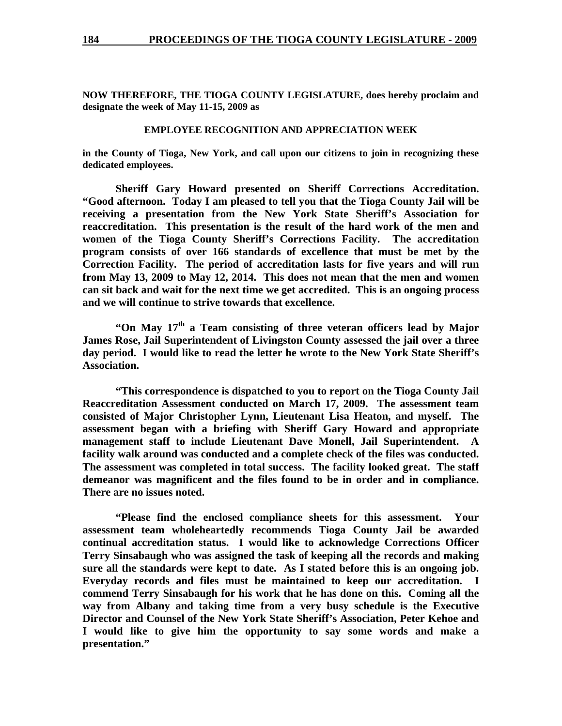**NOW THEREFORE, THE TIOGA COUNTY LEGISLATURE, does hereby proclaim and designate the week of May 11-15, 2009 as** 

#### **EMPLOYEE RECOGNITION AND APPRECIATION WEEK**

**in the County of Tioga, New York, and call upon our citizens to join in recognizing these dedicated employees.** 

 **Sheriff Gary Howard presented on Sheriff Corrections Accreditation. "Good afternoon. Today I am pleased to tell you that the Tioga County Jail will be receiving a presentation from the New York State Sheriff's Association for reaccreditation. This presentation is the result of the hard work of the men and women of the Tioga County Sheriff's Corrections Facility. The accreditation program consists of over 166 standards of excellence that must be met by the Correction Facility. The period of accreditation lasts for five years and will run from May 13, 2009 to May 12, 2014. This does not mean that the men and women can sit back and wait for the next time we get accredited. This is an ongoing process and we will continue to strive towards that excellence.** 

**"On May 17th a Team consisting of three veteran officers lead by Major James Rose, Jail Superintendent of Livingston County assessed the jail over a three day period. I would like to read the letter he wrote to the New York State Sheriff's Association.** 

 **"This correspondence is dispatched to you to report on the Tioga County Jail Reaccreditation Assessment conducted on March 17, 2009. The assessment team consisted of Major Christopher Lynn, Lieutenant Lisa Heaton, and myself. The assessment began with a briefing with Sheriff Gary Howard and appropriate management staff to include Lieutenant Dave Monell, Jail Superintendent. A facility walk around was conducted and a complete check of the files was conducted. The assessment was completed in total success. The facility looked great. The staff demeanor was magnificent and the files found to be in order and in compliance. There are no issues noted.** 

 **"Please find the enclosed compliance sheets for this assessment. Your assessment team wholeheartedly recommends Tioga County Jail be awarded continual accreditation status. I would like to acknowledge Corrections Officer Terry Sinsabaugh who was assigned the task of keeping all the records and making sure all the standards were kept to date. As I stated before this is an ongoing job. Everyday records and files must be maintained to keep our accreditation. I commend Terry Sinsabaugh for his work that he has done on this. Coming all the way from Albany and taking time from a very busy schedule is the Executive Director and Counsel of the New York State Sheriff's Association, Peter Kehoe and I would like to give him the opportunity to say some words and make a presentation."**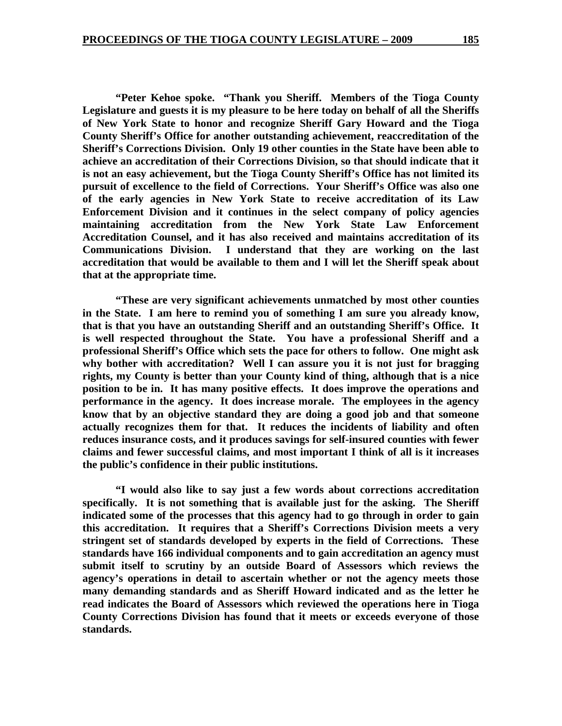**"Peter Kehoe spoke. "Thank you Sheriff. Members of the Tioga County Legislature and guests it is my pleasure to be here today on behalf of all the Sheriffs of New York State to honor and recognize Sheriff Gary Howard and the Tioga County Sheriff's Office for another outstanding achievement, reaccreditation of the Sheriff's Corrections Division. Only 19 other counties in the State have been able to achieve an accreditation of their Corrections Division, so that should indicate that it is not an easy achievement, but the Tioga County Sheriff's Office has not limited its pursuit of excellence to the field of Corrections. Your Sheriff's Office was also one of the early agencies in New York State to receive accreditation of its Law Enforcement Division and it continues in the select company of policy agencies maintaining accreditation from the New York State Law Enforcement Accreditation Counsel, and it has also received and maintains accreditation of its Communications Division. I understand that they are working on the last accreditation that would be available to them and I will let the Sheriff speak about that at the appropriate time.** 

 **"These are very significant achievements unmatched by most other counties in the State. I am here to remind you of something I am sure you already know, that is that you have an outstanding Sheriff and an outstanding Sheriff's Office. It is well respected throughout the State. You have a professional Sheriff and a professional Sheriff's Office which sets the pace for others to follow. One might ask why bother with accreditation? Well I can assure you it is not just for bragging rights, my County is better than your County kind of thing, although that is a nice position to be in. It has many positive effects. It does improve the operations and performance in the agency. It does increase morale. The employees in the agency know that by an objective standard they are doing a good job and that someone actually recognizes them for that. It reduces the incidents of liability and often reduces insurance costs, and it produces savings for self-insured counties with fewer claims and fewer successful claims, and most important I think of all is it increases the public's confidence in their public institutions.** 

 **"I would also like to say just a few words about corrections accreditation specifically. It is not something that is available just for the asking. The Sheriff indicated some of the processes that this agency had to go through in order to gain this accreditation. It requires that a Sheriff's Corrections Division meets a very stringent set of standards developed by experts in the field of Corrections. These standards have 166 individual components and to gain accreditation an agency must submit itself to scrutiny by an outside Board of Assessors which reviews the agency's operations in detail to ascertain whether or not the agency meets those many demanding standards and as Sheriff Howard indicated and as the letter he read indicates the Board of Assessors which reviewed the operations here in Tioga County Corrections Division has found that it meets or exceeds everyone of those standards.**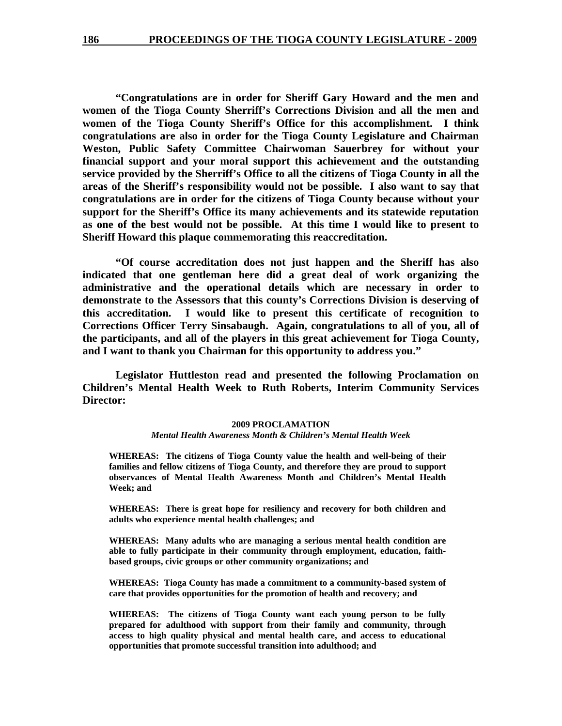**"Congratulations are in order for Sheriff Gary Howard and the men and women of the Tioga County Sherriff's Corrections Division and all the men and women of the Tioga County Sheriff's Office for this accomplishment. I think congratulations are also in order for the Tioga County Legislature and Chairman Weston, Public Safety Committee Chairwoman Sauerbrey for without your financial support and your moral support this achievement and the outstanding service provided by the Sherriff's Office to all the citizens of Tioga County in all the areas of the Sheriff's responsibility would not be possible. I also want to say that congratulations are in order for the citizens of Tioga County because without your support for the Sheriff's Office its many achievements and its statewide reputation as one of the best would not be possible. At this time I would like to present to Sheriff Howard this plaque commemorating this reaccreditation.** 

 **"Of course accreditation does not just happen and the Sheriff has also indicated that one gentleman here did a great deal of work organizing the administrative and the operational details which are necessary in order to demonstrate to the Assessors that this county's Corrections Division is deserving of this accreditation. I would like to present this certificate of recognition to Corrections Officer Terry Sinsabaugh. Again, congratulations to all of you, all of the participants, and all of the players in this great achievement for Tioga County, and I want to thank you Chairman for this opportunity to address you."** 

 **Legislator Huttleston read and presented the following Proclamation on Children's Mental Health Week to Ruth Roberts, Interim Community Services Director:** 

#### **2009 PROCLAMATION**  *Mental Health Awareness Month & Children's Mental Health Week*

**WHEREAS: The citizens of Tioga County value the health and well-being of their families and fellow citizens of Tioga County, and therefore they are proud to support observances of Mental Health Awareness Month and Children's Mental Health Week; and** 

**WHEREAS: There is great hope for resiliency and recovery for both children and adults who experience mental health challenges; and** 

**WHEREAS: Many adults who are managing a serious mental health condition are able to fully participate in their community through employment, education, faithbased groups, civic groups or other community organizations; and** 

**WHEREAS: Tioga County has made a commitment to a community-based system of care that provides opportunities for the promotion of health and recovery; and** 

**WHEREAS: The citizens of Tioga County want each young person to be fully prepared for adulthood with support from their family and community, through access to high quality physical and mental health care, and access to educational opportunities that promote successful transition into adulthood; and**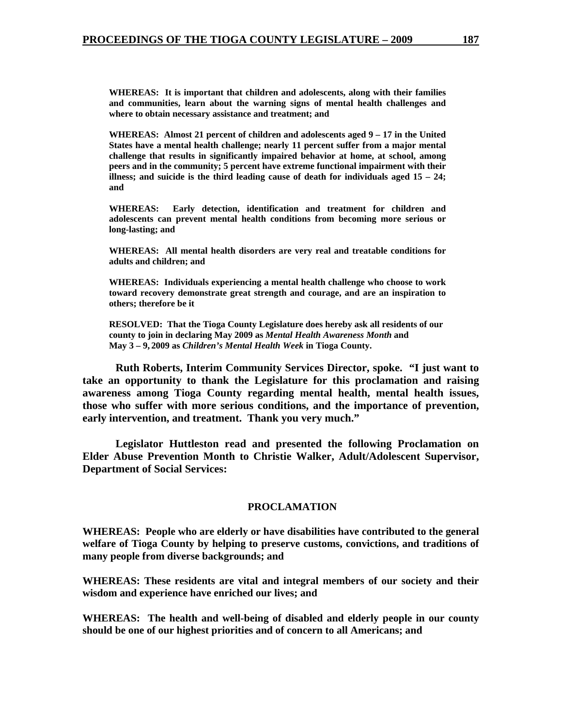**WHEREAS: It is important that children and adolescents, along with their families and communities, learn about the warning signs of mental health challenges and where to obtain necessary assistance and treatment; and** 

**WHEREAS: Almost 21 percent of children and adolescents aged 9 – 17 in the United States have a mental health challenge; nearly 11 percent suffer from a major mental challenge that results in significantly impaired behavior at home, at school, among peers and in the community; 5 percent have extreme functional impairment with their illness; and suicide is the third leading cause of death for individuals aged 15 – 24; and** 

**WHEREAS: Early detection, identification and treatment for children and adolescents can prevent mental health conditions from becoming more serious or long-lasting; and** 

**WHEREAS: All mental health disorders are very real and treatable conditions for adults and children; and** 

**WHEREAS: Individuals experiencing a mental health challenge who choose to work toward recovery demonstrate great strength and courage, and are an inspiration to others; therefore be it** 

**RESOLVED: That the Tioga County Legislature does hereby ask all residents of our county to join in declaring May 2009 as** *Mental Health Awareness Month* **and May 3 – 9, 2009 as** *Children's Mental Health Week* **in Tioga County.** 

 **Ruth Roberts, Interim Community Services Director, spoke. "I just want to take an opportunity to thank the Legislature for this proclamation and raising awareness among Tioga County regarding mental health, mental health issues, those who suffer with more serious conditions, and the importance of prevention, early intervention, and treatment. Thank you very much."** 

 **Legislator Huttleston read and presented the following Proclamation on Elder Abuse Prevention Month to Christie Walker, Adult/Adolescent Supervisor, Department of Social Services:** 

#### **PROCLAMATION**

**WHEREAS: People who are elderly or have disabilities have contributed to the general welfare of Tioga County by helping to preserve customs, convictions, and traditions of many people from diverse backgrounds; and** 

**WHEREAS: These residents are vital and integral members of our society and their wisdom and experience have enriched our lives; and** 

**WHEREAS: The health and well-being of disabled and elderly people in our county should be one of our highest priorities and of concern to all Americans; and**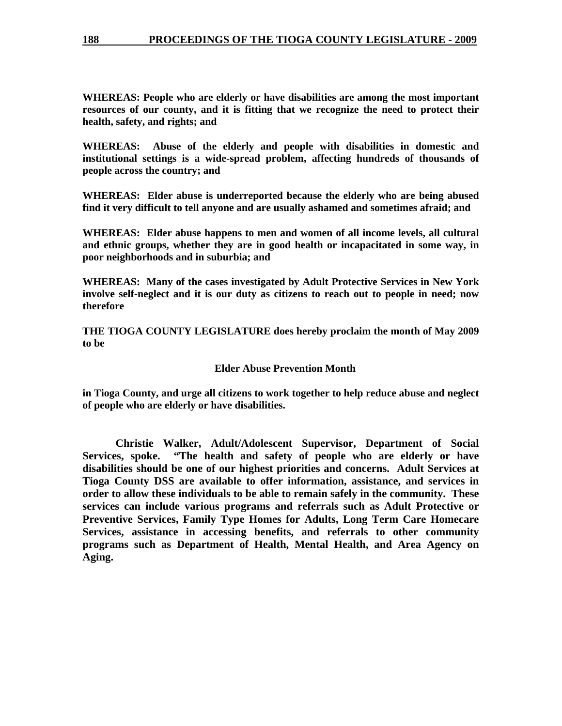**WHEREAS: People who are elderly or have disabilities are among the most important resources of our county, and it is fitting that we recognize the need to protect their health, safety, and rights; and** 

**WHEREAS: Abuse of the elderly and people with disabilities in domestic and institutional settings is a wide-spread problem, affecting hundreds of thousands of people across the country; and** 

**WHEREAS: Elder abuse is underreported because the elderly who are being abused find it very difficult to tell anyone and are usually ashamed and sometimes afraid; and** 

**WHEREAS: Elder abuse happens to men and women of all income levels, all cultural and ethnic groups, whether they are in good health or incapacitated in some way, in poor neighborhoods and in suburbia; and** 

**WHEREAS: Many of the cases investigated by Adult Protective Services in New York involve self-neglect and it is our duty as citizens to reach out to people in need; now therefore** 

**THE TIOGA COUNTY LEGISLATURE does hereby proclaim the month of May 2009 to be** 

#### **Elder Abuse Prevention Month**

**in Tioga County, and urge all citizens to work together to help reduce abuse and neglect of people who are elderly or have disabilities.** 

 **Christie Walker, Adult/Adolescent Supervisor, Department of Social Services, spoke. "The health and safety of people who are elderly or have disabilities should be one of our highest priorities and concerns. Adult Services at Tioga County DSS are available to offer information, assistance, and services in order to allow these individuals to be able to remain safely in the community. These services can include various programs and referrals such as Adult Protective or Preventive Services, Family Type Homes for Adults, Long Term Care Homecare Services, assistance in accessing benefits, and referrals to other community programs such as Department of Health, Mental Health, and Area Agency on Aging.**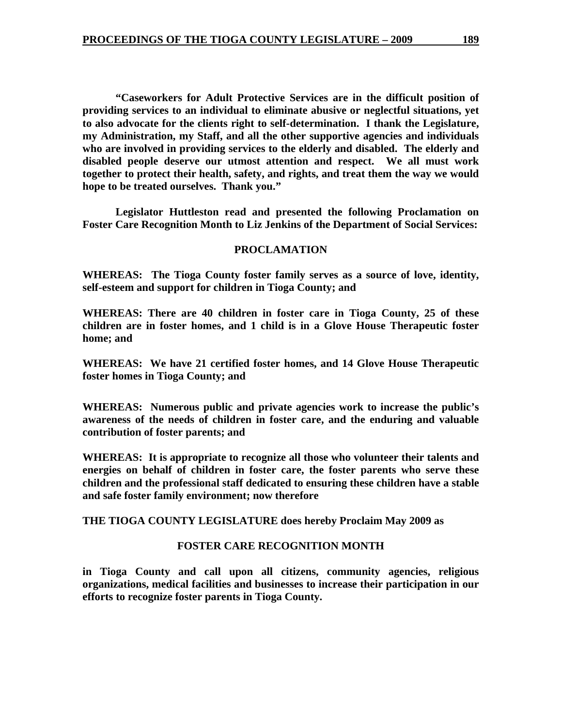**"Caseworkers for Adult Protective Services are in the difficult position of providing services to an individual to eliminate abusive or neglectful situations, yet to also advocate for the clients right to self-determination. I thank the Legislature, my Administration, my Staff, and all the other supportive agencies and individuals who are involved in providing services to the elderly and disabled. The elderly and disabled people deserve our utmost attention and respect. We all must work together to protect their health, safety, and rights, and treat them the way we would hope to be treated ourselves. Thank you."** 

 **Legislator Huttleston read and presented the following Proclamation on Foster Care Recognition Month to Liz Jenkins of the Department of Social Services:** 

#### **PROCLAMATION**

**WHEREAS: The Tioga County foster family serves as a source of love, identity, self-esteem and support for children in Tioga County; and** 

**WHEREAS: There are 40 children in foster care in Tioga County, 25 of these children are in foster homes, and 1 child is in a Glove House Therapeutic foster home; and** 

**WHEREAS: We have 21 certified foster homes, and 14 Glove House Therapeutic foster homes in Tioga County; and** 

**WHEREAS: Numerous public and private agencies work to increase the public's awareness of the needs of children in foster care, and the enduring and valuable contribution of foster parents; and** 

**WHEREAS: It is appropriate to recognize all those who volunteer their talents and energies on behalf of children in foster care, the foster parents who serve these children and the professional staff dedicated to ensuring these children have a stable and safe foster family environment; now therefore** 

**THE TIOGA COUNTY LEGISLATURE does hereby Proclaim May 2009 as** 

### **FOSTER CARE RECOGNITION MONTH**

**in Tioga County and call upon all citizens, community agencies, religious organizations, medical facilities and businesses to increase their participation in our efforts to recognize foster parents in Tioga County.**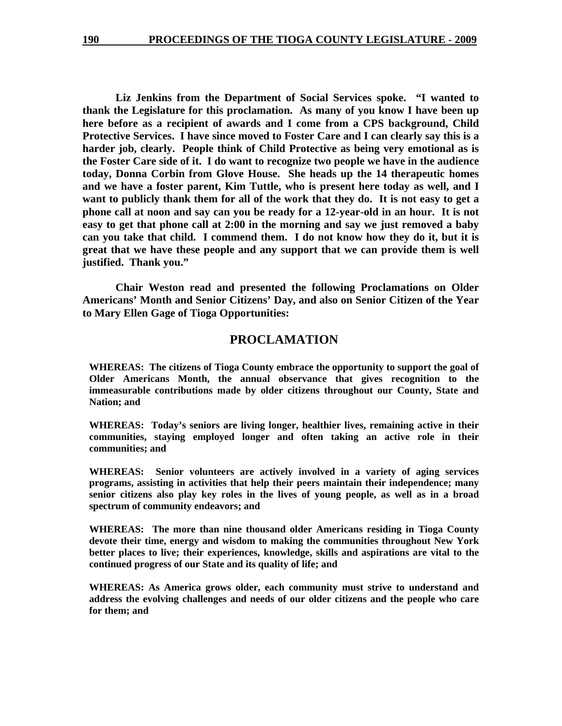**Liz Jenkins from the Department of Social Services spoke. "I wanted to thank the Legislature for this proclamation. As many of you know I have been up here before as a recipient of awards and I come from a CPS background, Child Protective Services. I have since moved to Foster Care and I can clearly say this is a harder job, clearly. People think of Child Protective as being very emotional as is the Foster Care side of it. I do want to recognize two people we have in the audience today, Donna Corbin from Glove House. She heads up the 14 therapeutic homes and we have a foster parent, Kim Tuttle, who is present here today as well, and I want to publicly thank them for all of the work that they do. It is not easy to get a phone call at noon and say can you be ready for a 12-year-old in an hour. It is not easy to get that phone call at 2:00 in the morning and say we just removed a baby can you take that child. I commend them. I do not know how they do it, but it is great that we have these people and any support that we can provide them is well justified. Thank you."** 

 **Chair Weston read and presented the following Proclamations on Older Americans' Month and Senior Citizens' Day, and also on Senior Citizen of the Year to Mary Ellen Gage of Tioga Opportunities:** 

#### **PROCLAMATION**

**WHEREAS: The citizens of Tioga County embrace the opportunity to support the goal of Older Americans Month, the annual observance that gives recognition to the immeasurable contributions made by older citizens throughout our County, State and Nation; and** 

**WHEREAS: Today's seniors are living longer, healthier lives, remaining active in their communities, staying employed longer and often taking an active role in their communities; and** 

**WHEREAS: Senior volunteers are actively involved in a variety of aging services programs, assisting in activities that help their peers maintain their independence; many senior citizens also play key roles in the lives of young people, as well as in a broad spectrum of community endeavors; and** 

**WHEREAS: The more than nine thousand older Americans residing in Tioga County devote their time, energy and wisdom to making the communities throughout New York better places to live; their experiences, knowledge, skills and aspirations are vital to the continued progress of our State and its quality of life; and** 

**WHEREAS: As America grows older, each community must strive to understand and address the evolving challenges and needs of our older citizens and the people who care for them; and**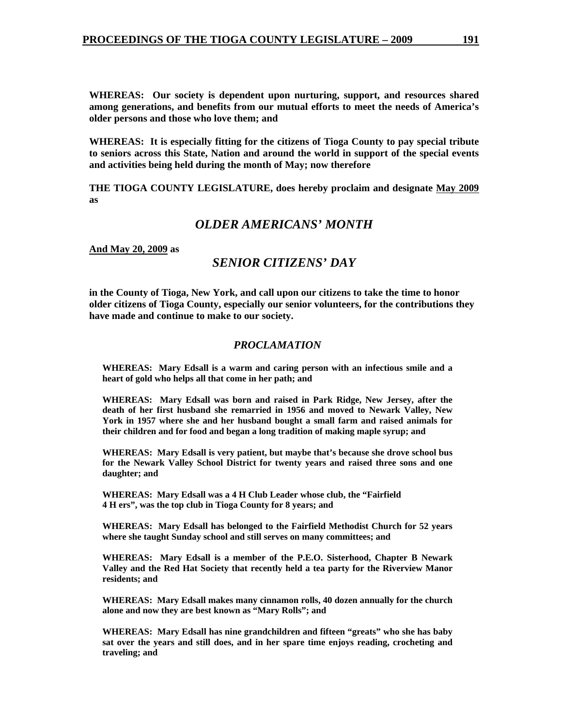**WHEREAS: Our society is dependent upon nurturing, support, and resources shared among generations, and benefits from our mutual efforts to meet the needs of America's older persons and those who love them; and** 

**WHEREAS: It is especially fitting for the citizens of Tioga County to pay special tribute to seniors across this State, Nation and around the world in support of the special events and activities being held during the month of May; now therefore** 

**THE TIOGA COUNTY LEGISLATURE, does hereby proclaim and designate May 2009 as** 

## *OLDER AMERICANS' MONTH*

**And May 20, 2009 as** 

## *SENIOR CITIZENS' DAY*

**in the County of Tioga, New York, and call upon our citizens to take the time to honor older citizens of Tioga County, especially our senior volunteers, for the contributions they have made and continue to make to our society.** 

#### *PROCLAMATION*

**WHEREAS: Mary Edsall is a warm and caring person with an infectious smile and a heart of gold who helps all that come in her path; and** 

**WHEREAS: Mary Edsall was born and raised in Park Ridge, New Jersey, after the death of her first husband she remarried in 1956 and moved to Newark Valley, New York in 1957 where she and her husband bought a small farm and raised animals for their children and for food and began a long tradition of making maple syrup; and** 

**WHEREAS: Mary Edsall is very patient, but maybe that's because she drove school bus for the Newark Valley School District for twenty years and raised three sons and one daughter; and** 

**WHEREAS: Mary Edsall was a 4 H Club Leader whose club, the "Fairfield 4 H ers", was the top club in Tioga County for 8 years; and** 

**WHEREAS: Mary Edsall has belonged to the Fairfield Methodist Church for 52 years where she taught Sunday school and still serves on many committees; and** 

**WHEREAS: Mary Edsall is a member of the P.E.O. Sisterhood, Chapter B Newark Valley and the Red Hat Society that recently held a tea party for the Riverview Manor residents; and** 

**WHEREAS: Mary Edsall makes many cinnamon rolls, 40 dozen annually for the church alone and now they are best known as "Mary Rolls"; and** 

**WHEREAS: Mary Edsall has nine grandchildren and fifteen "greats" who she has baby sat over the years and still does, and in her spare time enjoys reading, crocheting and traveling; and**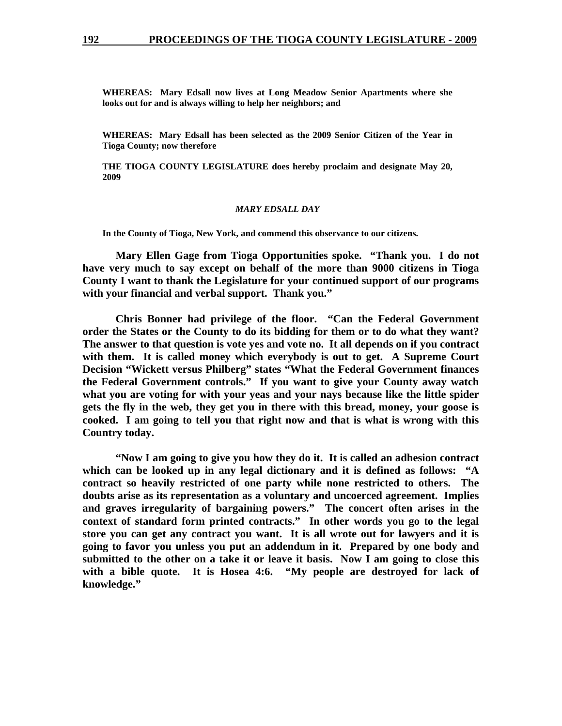**WHEREAS: Mary Edsall now lives at Long Meadow Senior Apartments where she looks out for and is always willing to help her neighbors; and** 

**WHEREAS: Mary Edsall has been selected as the 2009 Senior Citizen of the Year in Tioga County; now therefore** 

**THE TIOGA COUNTY LEGISLATURE does hereby proclaim and designate May 20, 2009** 

#### *MARY EDSALL DAY*

**In the County of Tioga, New York, and commend this observance to our citizens.** 

 **Mary Ellen Gage from Tioga Opportunities spoke. "Thank you. I do not have very much to say except on behalf of the more than 9000 citizens in Tioga County I want to thank the Legislature for your continued support of our programs with your financial and verbal support. Thank you."** 

 **Chris Bonner had privilege of the floor. "Can the Federal Government order the States or the County to do its bidding for them or to do what they want? The answer to that question is vote yes and vote no. It all depends on if you contract with them. It is called money which everybody is out to get. A Supreme Court Decision "Wickett versus Philberg" states "What the Federal Government finances the Federal Government controls." If you want to give your County away watch what you are voting for with your yeas and your nays because like the little spider gets the fly in the web, they get you in there with this bread, money, your goose is cooked. I am going to tell you that right now and that is what is wrong with this Country today.** 

 **"Now I am going to give you how they do it. It is called an adhesion contract which can be looked up in any legal dictionary and it is defined as follows: "A contract so heavily restricted of one party while none restricted to others. The doubts arise as its representation as a voluntary and uncoerced agreement. Implies and graves irregularity of bargaining powers." The concert often arises in the context of standard form printed contracts." In other words you go to the legal store you can get any contract you want. It is all wrote out for lawyers and it is going to favor you unless you put an addendum in it. Prepared by one body and submitted to the other on a take it or leave it basis. Now I am going to close this with a bible quote. It is Hosea 4:6. "My people are destroyed for lack of knowledge."**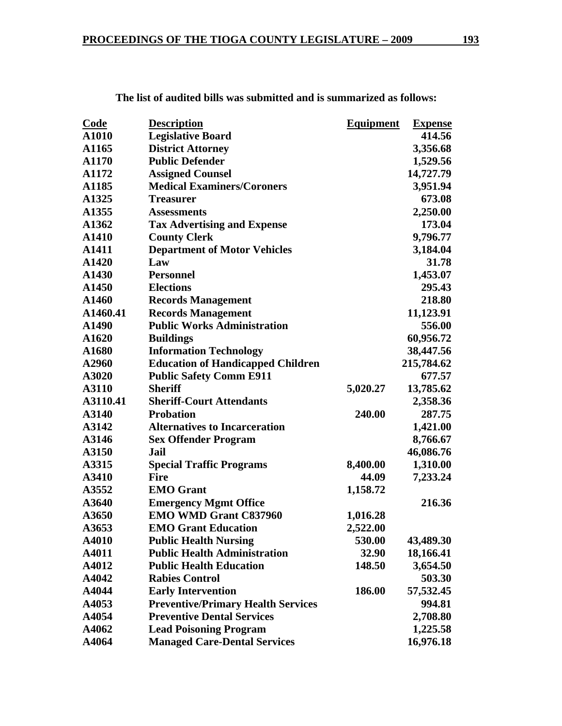| <u>Code</u> | <b>Description</b>                        | <b>Equipment</b> | <b>Expense</b> |
|-------------|-------------------------------------------|------------------|----------------|
| A1010       | <b>Legislative Board</b>                  |                  | 414.56         |
| A1165       | <b>District Attorney</b>                  |                  | 3,356.68       |
| A1170       | <b>Public Defender</b>                    |                  | 1,529.56       |
| A1172       | <b>Assigned Counsel</b>                   |                  | 14,727.79      |
| A1185       | <b>Medical Examiners/Coroners</b>         |                  | 3,951.94       |
| A1325       | <b>Treasurer</b>                          |                  | 673.08         |
| A1355       | <b>Assessments</b>                        |                  | 2,250.00       |
| A1362       | <b>Tax Advertising and Expense</b>        |                  | 173.04         |
| A1410       | <b>County Clerk</b>                       |                  | 9,796.77       |
| A1411       | <b>Department of Motor Vehicles</b>       |                  | 3,184.04       |
| A1420       | Law                                       |                  | 31.78          |
| A1430       | <b>Personnel</b>                          |                  | 1,453.07       |
| A1450       | <b>Elections</b>                          |                  | 295.43         |
| A1460       | <b>Records Management</b>                 |                  | 218.80         |
| A1460.41    | <b>Records Management</b>                 |                  | 11,123.91      |
| A1490       | <b>Public Works Administration</b>        |                  | 556.00         |
| A1620       | <b>Buildings</b>                          |                  | 60,956.72      |
| A1680       | <b>Information Technology</b>             |                  | 38,447.56      |
| A2960       | <b>Education of Handicapped Children</b>  |                  | 215,784.62     |
| A3020       | <b>Public Safety Comm E911</b>            |                  | 677.57         |
| A3110       | <b>Sheriff</b>                            | 5,020.27         | 13,785.62      |
| A3110.41    | <b>Sheriff-Court Attendants</b>           |                  | 2,358.36       |
| A3140       | <b>Probation</b>                          | 240.00           | 287.75         |
| A3142       | <b>Alternatives to Incarceration</b>      |                  | 1,421.00       |
| A3146       | <b>Sex Offender Program</b>               |                  | 8,766.67       |
| A3150       | Jail                                      |                  | 46,086.76      |
| A3315       | <b>Special Traffic Programs</b>           | 8,400.00         | 1,310.00       |
| A3410       | <b>Fire</b>                               | 44.09            | 7,233.24       |
| A3552       | <b>EMO</b> Grant                          | 1,158.72         |                |
| A3640       | <b>Emergency Mgmt Office</b>              |                  | 216.36         |
| A3650       | <b>EMO WMD Grant C837960</b>              | 1,016.28         |                |
| A3653       | <b>EMO Grant Education</b>                | 2,522.00         |                |
| A4010       | <b>Public Health Nursing</b>              | 530.00           | 43,489.30      |
| A4011       | <b>Public Health Administration</b>       | 32.90            | 18,166.41      |
| A4012       | <b>Public Health Education</b>            | 148.50           | 3,654.50       |
| A4042       | <b>Rabies Control</b>                     |                  | 503.30         |
| A4044       | <b>Early Intervention</b>                 | 186.00           | 57,532.45      |
| A4053       | <b>Preventive/Primary Health Services</b> |                  | 994.81         |
| A4054       | <b>Preventive Dental Services</b>         |                  | 2,708.80       |
| A4062       | <b>Lead Poisoning Program</b>             |                  | 1,225.58       |
| A4064       | <b>Managed Care-Dental Services</b>       |                  | 16,976.18      |
|             |                                           |                  |                |

**The list of audited bills was submitted and is summarized as follows:**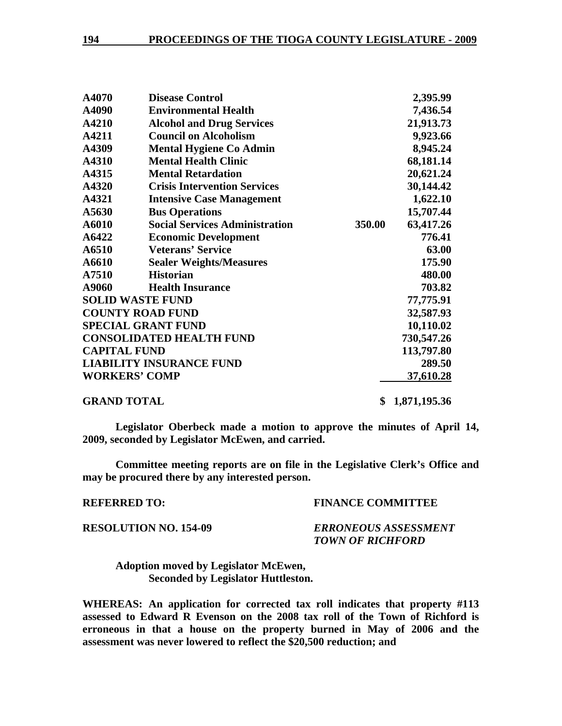| A4070               | <b>Disease Control</b>                |        | 2,395.99     |
|---------------------|---------------------------------------|--------|--------------|
| A4090               | <b>Environmental Health</b>           |        | 7,436.54     |
| A4210               | <b>Alcohol and Drug Services</b>      |        | 21,913.73    |
| A4211               | <b>Council on Alcoholism</b>          |        | 9,923.66     |
| A4309               | <b>Mental Hygiene Co Admin</b>        |        | 8,945.24     |
| A4310               | <b>Mental Health Clinic</b>           |        | 68,181.14    |
| A4315               | <b>Mental Retardation</b>             |        | 20,621.24    |
| A4320               | <b>Crisis Intervention Services</b>   |        | 30,144.42    |
| A4321               | <b>Intensive Case Management</b>      |        | 1,622.10     |
| A5630               | <b>Bus Operations</b>                 |        | 15,707.44    |
| A6010               | <b>Social Services Administration</b> | 350.00 | 63,417.26    |
| A6422               | <b>Economic Development</b>           |        | 776.41       |
| A6510               | <b>Veterans' Service</b>              |        | 63.00        |
| A6610               | <b>Sealer Weights/Measures</b>        |        | 175.90       |
| A7510               | <b>Historian</b>                      |        | 480.00       |
| A9060               | <b>Health Insurance</b>               |        | 703.82       |
|                     | <b>SOLID WASTE FUND</b>               |        | 77,775.91    |
|                     | <b>COUNTY ROAD FUND</b>               |        | 32,587.93    |
|                     | <b>SPECIAL GRANT FUND</b>             |        | 10,110.02    |
|                     | <b>CONSOLIDATED HEALTH FUND</b>       |        | 730,547.26   |
| <b>CAPITAL FUND</b> |                                       |        | 113,797.80   |
|                     | <b>LIABILITY INSURANCE FUND</b>       |        | 289.50       |
|                     | <b>WORKERS' COMP</b>                  |        | 37,610.28    |
| <b>GRAND TOTAL</b>  |                                       | \$     | 1,871,195.36 |

**Legislator Oberbeck made a motion to approve the minutes of April 14, 2009, seconded by Legislator McEwen, and carried.** 

**Committee meeting reports are on file in the Legislative Clerk's Office and may be procured there by any interested person.** 

#### **REFERRED TO: FINANCE COMMITTEE**

### **RESOLUTION NO. 154-09** *ERRONEOUS ASSESSMENT TOWN OF RICHFORD*

 **Adoption moved by Legislator McEwen, Seconded by Legislator Huttleston.** 

**WHEREAS: An application for corrected tax roll indicates that property #113 assessed to Edward R Evenson on the 2008 tax roll of the Town of Richford is erroneous in that a house on the property burned in May of 2006 and the assessment was never lowered to reflect the \$20,500 reduction; and**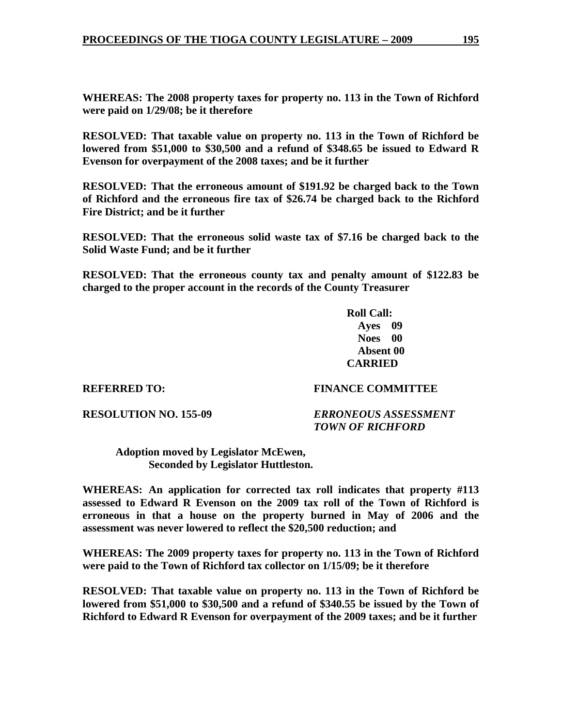**WHEREAS: The 2008 property taxes for property no. 113 in the Town of Richford were paid on 1/29/08; be it therefore** 

**RESOLVED: That taxable value on property no. 113 in the Town of Richford be lowered from \$51,000 to \$30,500 and a refund of \$348.65 be issued to Edward R Evenson for overpayment of the 2008 taxes; and be it further** 

**RESOLVED: That the erroneous amount of \$191.92 be charged back to the Town of Richford and the erroneous fire tax of \$26.74 be charged back to the Richford Fire District; and be it further** 

**RESOLVED: That the erroneous solid waste tax of \$7.16 be charged back to the Solid Waste Fund; and be it further** 

**RESOLVED: That the erroneous county tax and penalty amount of \$122.83 be charged to the proper account in the records of the County Treasurer** 

> **Roll Call: Ayes 09 Noes 00 Absent 00 CARRIED**

### **REFERRED TO: FINANCE COMMITTEE**

**RESOLUTION NO. 155-09** *ERRONEOUS ASSESSMENT TOWN OF RICHFORD* 

 **Adoption moved by Legislator McEwen, Seconded by Legislator Huttleston.** 

**WHEREAS: An application for corrected tax roll indicates that property #113 assessed to Edward R Evenson on the 2009 tax roll of the Town of Richford is erroneous in that a house on the property burned in May of 2006 and the assessment was never lowered to reflect the \$20,500 reduction; and** 

**WHEREAS: The 2009 property taxes for property no. 113 in the Town of Richford were paid to the Town of Richford tax collector on 1/15/09; be it therefore** 

**RESOLVED: That taxable value on property no. 113 in the Town of Richford be lowered from \$51,000 to \$30,500 and a refund of \$340.55 be issued by the Town of Richford to Edward R Evenson for overpayment of the 2009 taxes; and be it further**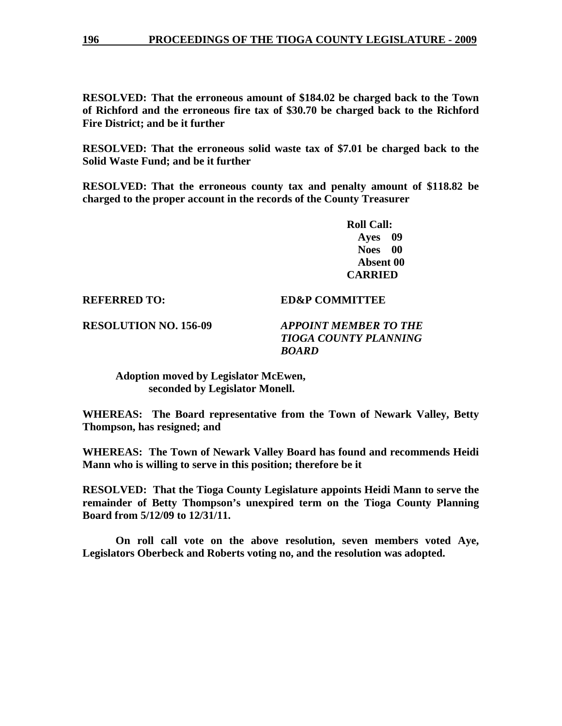**RESOLVED: That the erroneous amount of \$184.02 be charged back to the Town of Richford and the erroneous fire tax of \$30.70 be charged back to the Richford Fire District; and be it further** 

**RESOLVED: That the erroneous solid waste tax of \$7.01 be charged back to the Solid Waste Fund; and be it further** 

**RESOLVED: That the erroneous county tax and penalty amount of \$118.82 be charged to the proper account in the records of the County Treasurer** 

> **Roll Call: Ayes 09 Noes 00 Absent 00 CARRIED**

**REFERRED TO: ED&P COMMITTEE** 

**RESOLUTION NO. 156-09** *APPOINT MEMBER TO THE* 

 *TIOGA COUNTY PLANNING BOARD* 

 **Adoption moved by Legislator McEwen, seconded by Legislator Monell.** 

**WHEREAS: The Board representative from the Town of Newark Valley, Betty Thompson, has resigned; and** 

**WHEREAS: The Town of Newark Valley Board has found and recommends Heidi Mann who is willing to serve in this position; therefore be it** 

**RESOLVED: That the Tioga County Legislature appoints Heidi Mann to serve the remainder of Betty Thompson's unexpired term on the Tioga County Planning Board from 5/12/09 to 12/31/11.** 

 **On roll call vote on the above resolution, seven members voted Aye, Legislators Oberbeck and Roberts voting no, and the resolution was adopted.**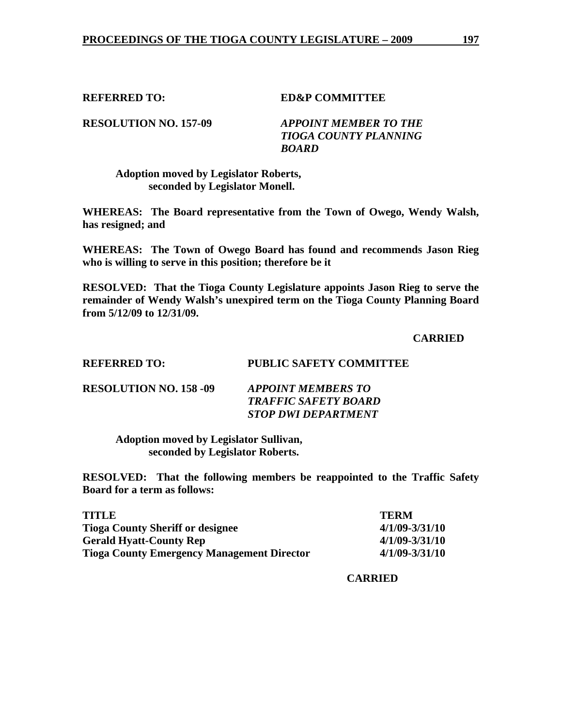**REFERRED TO: ED&P COMMITTEE** 

**RESOLUTION NO. 157-09** *APPOINT MEMBER TO THE* 

 *TIOGA COUNTY PLANNING BOARD* 

## **Adoption moved by Legislator Roberts, seconded by Legislator Monell.**

**WHEREAS: The Board representative from the Town of Owego, Wendy Walsh, has resigned; and** 

**WHEREAS: The Town of Owego Board has found and recommends Jason Rieg who is willing to serve in this position; therefore be it** 

**RESOLVED: That the Tioga County Legislature appoints Jason Rieg to serve the remainder of Wendy Walsh's unexpired term on the Tioga County Planning Board from 5/12/09 to 12/31/09.** 

 **CARRIED** 

## **REFERRED TO: PUBLIC SAFETY COMMITTEE**

| <b>RESOLUTION NO. 158 -09</b> | <b>APPOINT MEMBERS TO</b>   |
|-------------------------------|-----------------------------|
|                               | <b>TRAFFIC SAFETY BOARD</b> |
|                               | <b>STOP DWI DEPARTMENT</b>  |

 **Adoption moved by Legislator Sullivan, seconded by Legislator Roberts.** 

**RESOLVED: That the following members be reappointed to the Traffic Safety Board for a term as follows:** 

| <b>TITLE</b>                                      | <b>TERM</b>        |
|---------------------------------------------------|--------------------|
| <b>Tioga County Sheriff or designee</b>           | $4/1/09 - 3/31/10$ |
| <b>Gerald Hyatt-County Rep</b>                    | $4/1/09 - 3/31/10$ |
| <b>Tioga County Emergency Management Director</b> | $4/1/09 - 3/31/10$ |

 **CARRIED**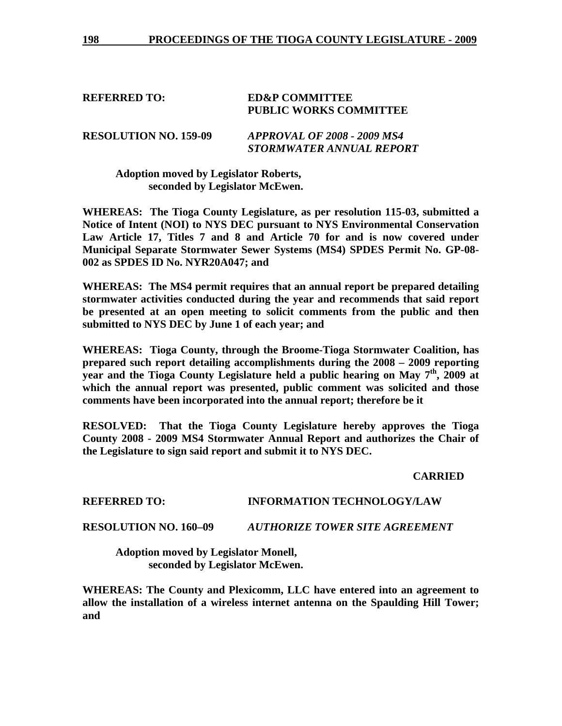## **REFERRED TO: ED&P COMMITTEE PUBLIC WORKS COMMITTEE**

**RESOLUTION NO. 159-09** *APPROVAL OF 2008 - 2009 MS4 STORMWATER ANNUAL REPORT* 

 **Adoption moved by Legislator Roberts, seconded by Legislator McEwen.** 

**WHEREAS: The Tioga County Legislature, as per resolution 115-03, submitted a Notice of Intent (NOI) to NYS DEC pursuant to NYS Environmental Conservation Law Article 17, Titles 7 and 8 and Article 70 for and is now covered under Municipal Separate Stormwater Sewer Systems (MS4) SPDES Permit No. GP-08- 002 as SPDES ID No. NYR20A047; and** 

**WHEREAS: The MS4 permit requires that an annual report be prepared detailing stormwater activities conducted during the year and recommends that said report be presented at an open meeting to solicit comments from the public and then submitted to NYS DEC by June 1 of each year; and** 

**WHEREAS: Tioga County, through the Broome-Tioga Stormwater Coalition, has prepared such report detailing accomplishments during the 2008 – 2009 reporting year and the Tioga County Legislature held a public hearing on May 7th, 2009 at which the annual report was presented, public comment was solicited and those comments have been incorporated into the annual report; therefore be it** 

**RESOLVED: That the Tioga County Legislature hereby approves the Tioga County 2008 - 2009 MS4 Stormwater Annual Report and authorizes the Chair of the Legislature to sign said report and submit it to NYS DEC.** 

 **CARRIED** 

### **REFERRED TO: INFORMATION TECHNOLOGY/LAW**

### **RESOLUTION NO. 160–09** *AUTHORIZE TOWER SITE AGREEMENT*

 **Adoption moved by Legislator Monell, seconded by Legislator McEwen.** 

**WHEREAS: The County and Plexicomm, LLC have entered into an agreement to allow the installation of a wireless internet antenna on the Spaulding Hill Tower; and**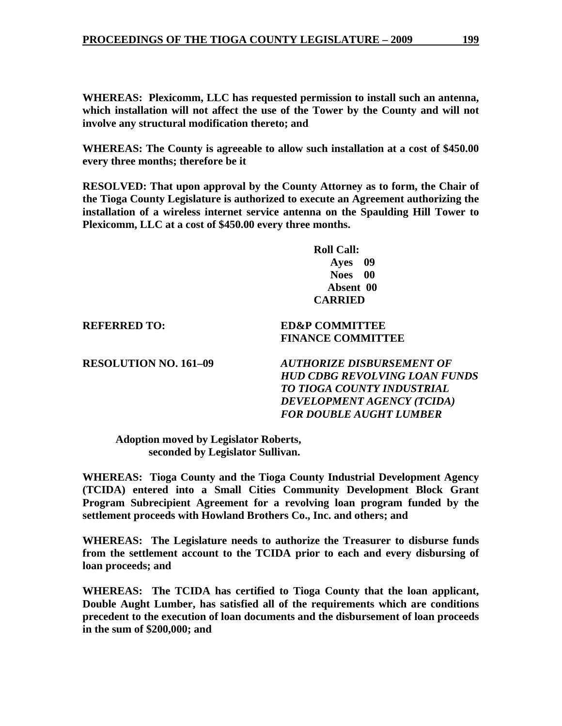**WHEREAS: Plexicomm, LLC has requested permission to install such an antenna, which installation will not affect the use of the Tower by the County and will not involve any structural modification thereto; and** 

**WHEREAS: The County is agreeable to allow such installation at a cost of \$450.00 every three months; therefore be it** 

**RESOLVED: That upon approval by the County Attorney as to form, the Chair of the Tioga County Legislature is authorized to execute an Agreement authorizing the installation of a wireless internet service antenna on the Spaulding Hill Tower to Plexicomm, LLC at a cost of \$450.00 every three months.** 

> **Roll Call: Ayes 09 Noes 00 Absent 00 CARRIED**

 **FINANCE COMMITTEE** 

**REFERRED TO: ED&P COMMITTEE** 

**RESOLUTION NO. 161–09** *AUTHORIZE DISBURSEMENT OF HUD CDBG REVOLVING LOAN FUNDS TO TIOGA COUNTY INDUSTRIAL DEVELOPMENT AGENCY (TCIDA) FOR DOUBLE AUGHT LUMBER* 

**Adoption moved by Legislator Roberts, seconded by Legislator Sullivan.** 

**WHEREAS: Tioga County and the Tioga County Industrial Development Agency (TCIDA) entered into a Small Cities Community Development Block Grant Program Subrecipient Agreement for a revolving loan program funded by the settlement proceeds with Howland Brothers Co., Inc. and others; and** 

**WHEREAS: The Legislature needs to authorize the Treasurer to disburse funds from the settlement account to the TCIDA prior to each and every disbursing of loan proceeds; and** 

**WHEREAS: The TCIDA has certified to Tioga County that the loan applicant, Double Aught Lumber, has satisfied all of the requirements which are conditions precedent to the execution of loan documents and the disbursement of loan proceeds in the sum of \$200,000; and**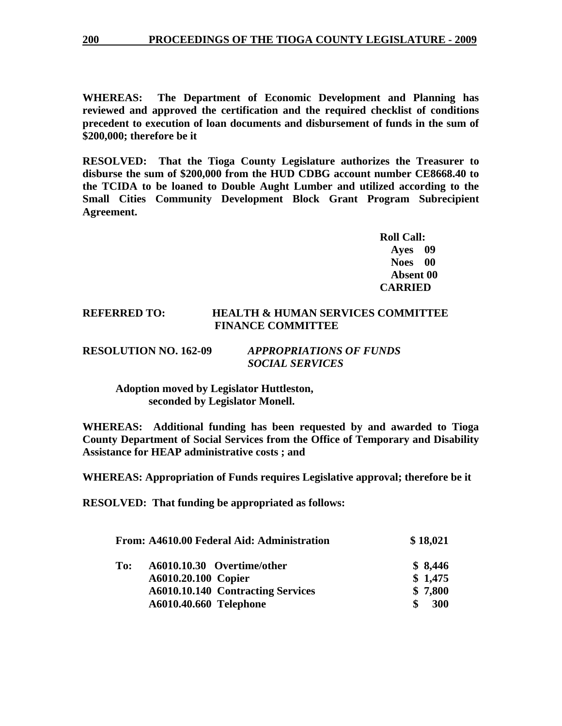**WHEREAS: The Department of Economic Development and Planning has reviewed and approved the certification and the required checklist of conditions precedent to execution of loan documents and disbursement of funds in the sum of \$200,000; therefore be it** 

**RESOLVED: That the Tioga County Legislature authorizes the Treasurer to disburse the sum of \$200,000 from the HUD CDBG account number CE8668.40 to the TCIDA to be loaned to Double Aught Lumber and utilized according to the Small Cities Community Development Block Grant Program Subrecipient Agreement.** 

> **Roll Call: Ayes 09 Noes 00 Absent 00 CARRIED**

## **REFERRED TO: HEALTH & HUMAN SERVICES COMMITTEE FINANCE COMMITTEE**

| <b>RESOLUTION NO. 162-09</b> | <b>APPROPRIATIONS OF FUNDS</b> |
|------------------------------|--------------------------------|
|                              | <b>SOCIAL SERVICES</b>         |

 **Adoption moved by Legislator Huttleston, seconded by Legislator Monell.** 

**WHEREAS: Additional funding has been requested by and awarded to Tioga County Department of Social Services from the Office of Temporary and Disability Assistance for HEAP administrative costs ; and** 

**WHEREAS: Appropriation of Funds requires Legislative approval; therefore be it** 

**RESOLVED: That funding be appropriated as follows:** 

|     | From: A4610.00 Federal Aid: Administration | \$18,021  |
|-----|--------------------------------------------|-----------|
| To: | A6010.10.30 Overtime/other                 | \$8,446   |
|     | A6010.20.100 Copier                        | \$1,475   |
|     | A6010.10.140 Contracting Services          | \$7,800   |
|     | A6010.40.660 Telephone                     | 300<br>\$ |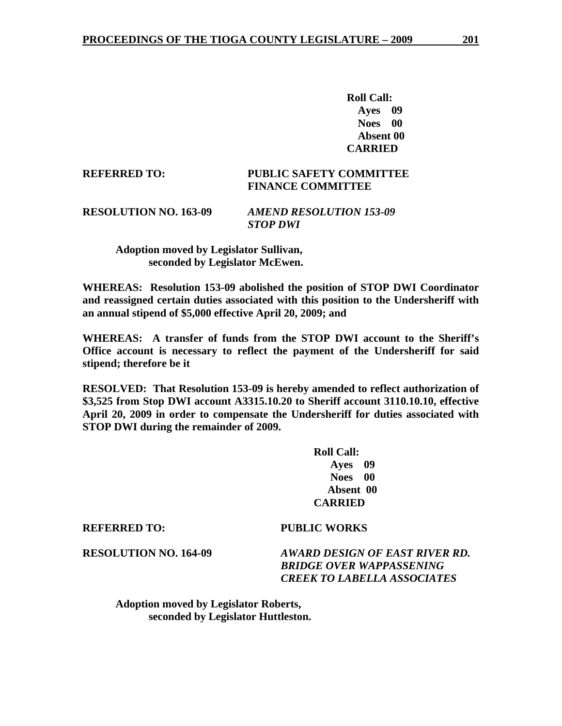**Roll Call: Ayes 09 Noes 00 Absent 00 CARRIED** 

### **REFERRED TO: PUBLIC SAFETY COMMITTEE FINANCE COMMITTEE**

**RESOLUTION NO. 163-09** *AMEND RESOLUTION 153-09 STOP DWI* 

> **Adoption moved by Legislator Sullivan, seconded by Legislator McEwen.**

**WHEREAS: Resolution 153-09 abolished the position of STOP DWI Coordinator and reassigned certain duties associated with this position to the Undersheriff with an annual stipend of \$5,000 effective April 20, 2009; and** 

**WHEREAS: A transfer of funds from the STOP DWI account to the Sheriff's Office account is necessary to reflect the payment of the Undersheriff for said stipend; therefore be it** 

**RESOLVED: That Resolution 153-09 is hereby amended to reflect authorization of \$3,525 from Stop DWI account A3315.10.20 to Sheriff account 3110.10.10, effective April 20, 2009 in order to compensate the Undersheriff for duties associated with STOP DWI during the remainder of 2009.** 

> **Roll Call: Ayes 09 Noes 00 Absent 00 CARRIED**

#### **REFERRED TO: PUBLIC WORKS**

**RESOLUTION NO. 164-09** *AWARD DESIGN OF EAST RIVER RD. BRIDGE OVER WAPPASSENING CREEK TO LABELLA ASSOCIATES* 

 **Adoption moved by Legislator Roberts, seconded by Legislator Huttleston.**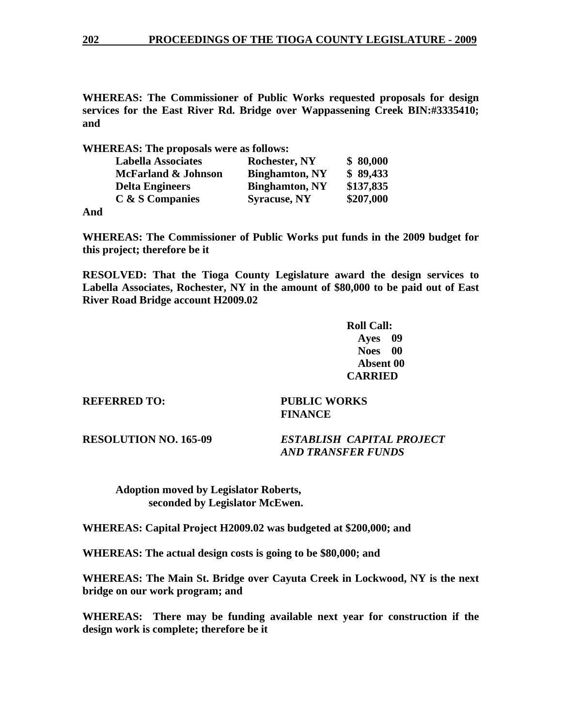**WHEREAS: The Commissioner of Public Works requested proposals for design services for the East River Rd. Bridge over Wappassening Creek BIN:#3335410; and** 

**WHEREAS: The proposals were as follows:** 

| <b>Labella Associates</b>      | <b>Rochester, NY</b>  | \$80,000  |
|--------------------------------|-----------------------|-----------|
| <b>McFarland &amp; Johnson</b> | <b>Binghamton, NY</b> | \$89,433  |
| <b>Delta Engineers</b>         | <b>Binghamton, NY</b> | \$137,835 |
| C & S Companies                | <b>Syracuse, NY</b>   | \$207,000 |

**And** 

**WHEREAS: The Commissioner of Public Works put funds in the 2009 budget for this project; therefore be it** 

**RESOLVED: That the Tioga County Legislature award the design services to Labella Associates, Rochester, NY in the amount of \$80,000 to be paid out of East River Road Bridge account H2009.02** 

> **Roll Call: Ayes 09 Noes 00 Absent 00 CARRIED**

**REFERRED TO: PUBLIC WORKS FINANCE** 

**RESOLUTION NO. 165-09** *ESTABLISH CAPITAL PROJECT AND TRANSFER FUNDS* 

 **Adoption moved by Legislator Roberts, seconded by Legislator McEwen.** 

**WHEREAS: Capital Project H2009.02 was budgeted at \$200,000; and** 

**WHEREAS: The actual design costs is going to be \$80,000; and** 

**WHEREAS: The Main St. Bridge over Cayuta Creek in Lockwood, NY is the next bridge on our work program; and** 

**WHEREAS: There may be funding available next year for construction if the design work is complete; therefore be it**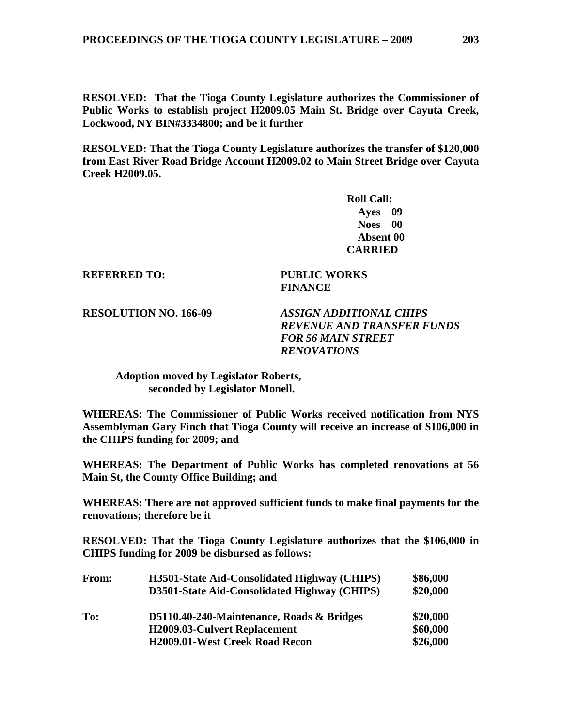**RESOLVED: That the Tioga County Legislature authorizes the Commissioner of Public Works to establish project H2009.05 Main St. Bridge over Cayuta Creek, Lockwood, NY BIN#3334800; and be it further** 

**RESOLVED: That the Tioga County Legislature authorizes the transfer of \$120,000 from East River Road Bridge Account H2009.02 to Main Street Bridge over Cayuta Creek H2009.05.** 

 **FINANCE** 

 **Roll Call: Ayes 09 Noes 00 Absent 00 CARRIED** 

**REFERRED TO: PUBLIC WORKS** 

**RESOLUTION NO. 166-09** *ASSIGN ADDITIONAL CHIPS REVENUE AND TRANSFER FUNDS FOR 56 MAIN STREET RENOVATIONS* 

 **Adoption moved by Legislator Roberts, seconded by Legislator Monell.** 

**WHEREAS: The Commissioner of Public Works received notification from NYS Assemblyman Gary Finch that Tioga County will receive an increase of \$106,000 in the CHIPS funding for 2009; and** 

**WHEREAS: The Department of Public Works has completed renovations at 56 Main St, the County Office Building; and** 

**WHEREAS: There are not approved sufficient funds to make final payments for the renovations; therefore be it** 

**RESOLVED: That the Tioga County Legislature authorizes that the \$106,000 in CHIPS funding for 2009 be disbursed as follows:** 

| <b>From:</b> | <b>H3501-State Aid-Consolidated Highway (CHIPS)</b> | \$86,000 |
|--------------|-----------------------------------------------------|----------|
|              | D3501-State Aid-Consolidated Highway (CHIPS)        | \$20,000 |
| To:          | D5110.40-240-Maintenance, Roads & Bridges           | \$20,000 |
|              | <b>H2009.03-Culvert Replacement</b>                 | \$60,000 |
|              | <b>H2009.01-West Creek Road Recon</b>               | \$26,000 |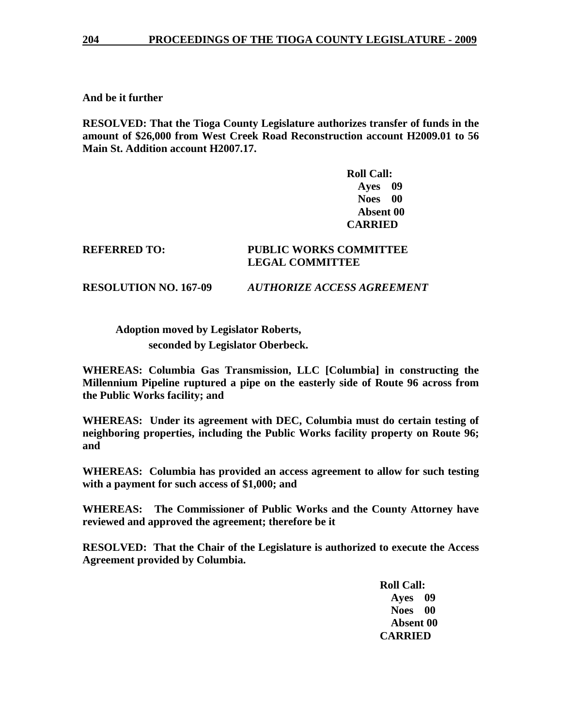**And be it further** 

**RESOLVED: That the Tioga County Legislature authorizes transfer of funds in the amount of \$26,000 from West Creek Road Reconstruction account H2009.01 to 56 Main St. Addition account H2007.17.** 

> **Roll Call: Ayes 09 Noes 00 Absent 00 CARRIED**

### **REFERRED TO: PUBLIC WORKS COMMITTEE LEGAL COMMITTEE**

**RESOLUTION NO. 167-09** *AUTHORIZE ACCESS AGREEMENT* 

 **Adoption moved by Legislator Roberts,** 

 **seconded by Legislator Oberbeck.** 

**WHEREAS: Columbia Gas Transmission, LLC [Columbia] in constructing the Millennium Pipeline ruptured a pipe on the easterly side of Route 96 across from the Public Works facility; and** 

**WHEREAS: Under its agreement with DEC, Columbia must do certain testing of neighboring properties, including the Public Works facility property on Route 96; and** 

**WHEREAS: Columbia has provided an access agreement to allow for such testing with a payment for such access of \$1,000; and** 

**WHEREAS: The Commissioner of Public Works and the County Attorney have reviewed and approved the agreement; therefore be it** 

**RESOLVED: That the Chair of the Legislature is authorized to execute the Access Agreement provided by Columbia.** 

> **Roll Call: Ayes 09 Noes 00 Absent 00 CARRIED**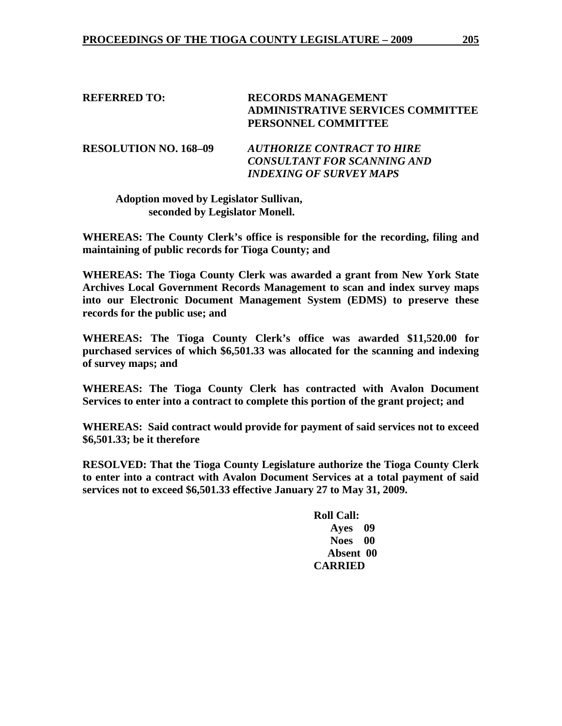**REFERRED TO: RECORDS MANAGEMENT ADMINISTRATIVE SERVICES COMMITTEE PERSONNEL COMMITTEE RESOLUTION NO. 168–09** *AUTHORIZE CONTRACT TO HIRE CONSULTANT FOR SCANNING AND* 

*INDEXING OF SURVEY MAPS* 

 **Adoption moved by Legislator Sullivan, seconded by Legislator Monell.** 

**WHEREAS: The County Clerk's office is responsible for the recording, filing and maintaining of public records for Tioga County; and** 

**WHEREAS: The Tioga County Clerk was awarded a grant from New York State Archives Local Government Records Management to scan and index survey maps into our Electronic Document Management System (EDMS) to preserve these records for the public use; and** 

**WHEREAS: The Tioga County Clerk's office was awarded \$11,520.00 for purchased services of which \$6,501.33 was allocated for the scanning and indexing of survey maps; and** 

**WHEREAS: The Tioga County Clerk has contracted with Avalon Document Services to enter into a contract to complete this portion of the grant project; and** 

**WHEREAS: Said contract would provide for payment of said services not to exceed \$6,501.33; be it therefore** 

**RESOLVED: That the Tioga County Legislature authorize the Tioga County Clerk to enter into a contract with Avalon Document Services at a total payment of said services not to exceed \$6,501.33 effective January 27 to May 31, 2009.** 

> **Roll Call: Ayes 09 Noes 00 Absent 00 CARRIED**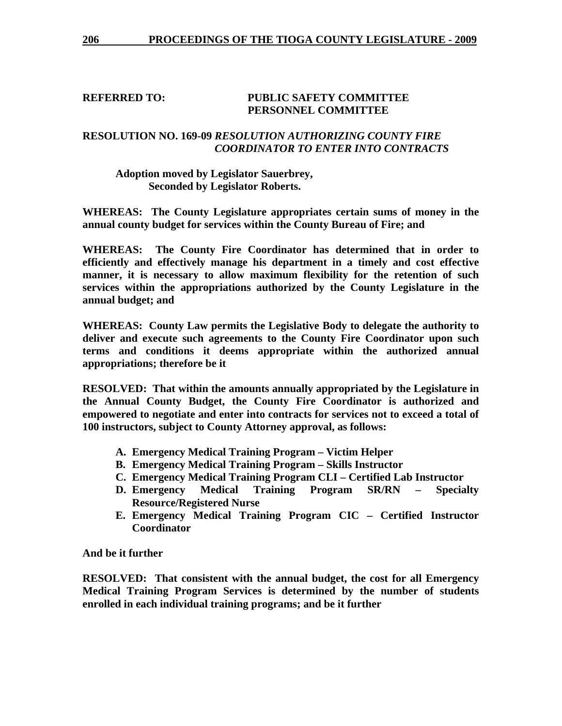### **REFERRED TO: PUBLIC SAFETY COMMITTEE PERSONNEL COMMITTEE**

## **RESOLUTION NO. 169-09** *RESOLUTION AUTHORIZING COUNTY FIRE COORDINATOR TO ENTER INTO CONTRACTS*

#### **Adoption moved by Legislator Sauerbrey, Seconded by Legislator Roberts.**

**WHEREAS: The County Legislature appropriates certain sums of money in the annual county budget for services within the County Bureau of Fire; and** 

**WHEREAS: The County Fire Coordinator has determined that in order to efficiently and effectively manage his department in a timely and cost effective manner, it is necessary to allow maximum flexibility for the retention of such services within the appropriations authorized by the County Legislature in the annual budget; and** 

**WHEREAS: County Law permits the Legislative Body to delegate the authority to deliver and execute such agreements to the County Fire Coordinator upon such terms and conditions it deems appropriate within the authorized annual appropriations; therefore be it** 

**RESOLVED: That within the amounts annually appropriated by the Legislature in the Annual County Budget, the County Fire Coordinator is authorized and empowered to negotiate and enter into contracts for services not to exceed a total of 100 instructors, subject to County Attorney approval, as follows:** 

- **A. Emergency Medical Training Program Victim Helper**
- **B. Emergency Medical Training Program Skills Instructor**
- **C. Emergency Medical Training Program CLI Certified Lab Instructor**
- **D. Emergency Medical Training Program SR/RN Specialty Resource/Registered Nurse**
- **E. Emergency Medical Training Program CIC Certified Instructor Coordinator**

**And be it further** 

**RESOLVED: That consistent with the annual budget, the cost for all Emergency Medical Training Program Services is determined by the number of students enrolled in each individual training programs; and be it further**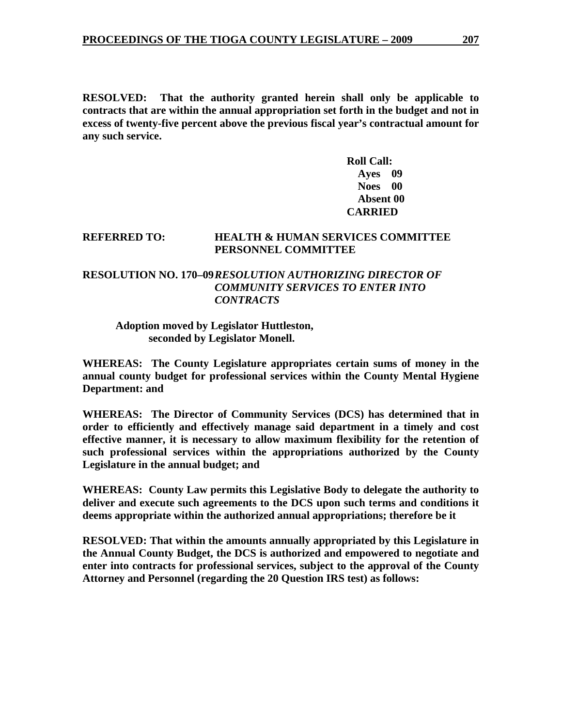**RESOLVED: That the authority granted herein shall only be applicable to contracts that are within the annual appropriation set forth in the budget and not in excess of twenty-five percent above the previous fiscal year's contractual amount for any such service.** 

> **Roll Call: Ayes 09 Noes 00 Absent 00 CARRIED**

#### **REFERRED TO: HEALTH & HUMAN SERVICES COMMITTEE PERSONNEL COMMITTEE**

## **RESOLUTION NO. 170–09** *RESOLUTION AUTHORIZING DIRECTOR OF COMMUNITY SERVICES TO ENTER INTO CONTRACTS*

#### **Adoption moved by Legislator Huttleston, seconded by Legislator Monell.**

**WHEREAS: The County Legislature appropriates certain sums of money in the annual county budget for professional services within the County Mental Hygiene Department: and** 

**WHEREAS: The Director of Community Services (DCS) has determined that in order to efficiently and effectively manage said department in a timely and cost effective manner, it is necessary to allow maximum flexibility for the retention of such professional services within the appropriations authorized by the County Legislature in the annual budget; and** 

**WHEREAS: County Law permits this Legislative Body to delegate the authority to deliver and execute such agreements to the DCS upon such terms and conditions it deems appropriate within the authorized annual appropriations; therefore be it** 

**RESOLVED: That within the amounts annually appropriated by this Legislature in the Annual County Budget, the DCS is authorized and empowered to negotiate and enter into contracts for professional services, subject to the approval of the County Attorney and Personnel (regarding the 20 Question IRS test) as follows:**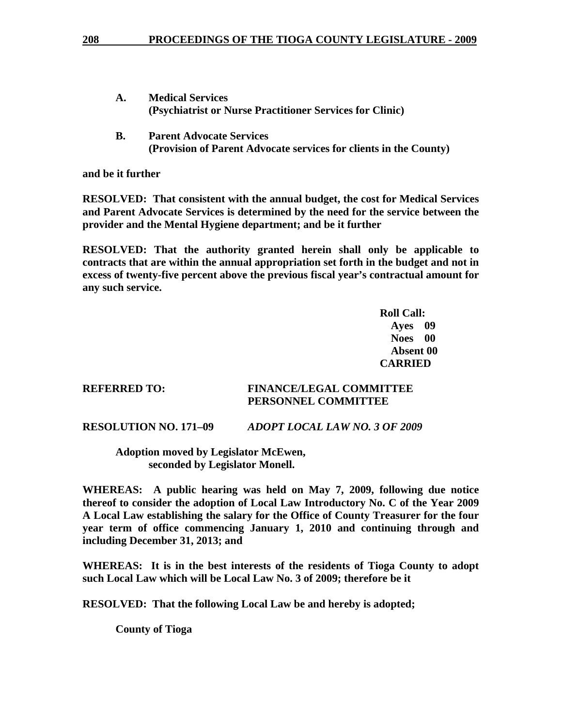- **A. Medical Services (Psychiatrist or Nurse Practitioner Services for Clinic)**
- **B. Parent Advocate Services (Provision of Parent Advocate services for clients in the County)**

**and be it further** 

**RESOLVED: That consistent with the annual budget, the cost for Medical Services and Parent Advocate Services is determined by the need for the service between the provider and the Mental Hygiene department; and be it further** 

**RESOLVED: That the authority granted herein shall only be applicable to contracts that are within the annual appropriation set forth in the budget and not in excess of twenty-five percent above the previous fiscal year's contractual amount for any such service.** 

*Roll Call:*  $R$  **Ayes 09 Noes 00 Absent 00 CARRIED** 

### **REFERRED TO: FINANCE/LEGAL COMMITTEE PERSONNEL COMMITTEE**

**RESOLUTION NO. 171–09** *ADOPT LOCAL LAW NO. 3 OF 2009* 

 **Adoption moved by Legislator McEwen, seconded by Legislator Monell.** 

**WHEREAS: A public hearing was held on May 7, 2009, following due notice thereof to consider the adoption of Local Law Introductory No. C of the Year 2009 A Local Law establishing the salary for the Office of County Treasurer for the four year term of office commencing January 1, 2010 and continuing through and including December 31, 2013; and** 

**WHEREAS: It is in the best interests of the residents of Tioga County to adopt such Local Law which will be Local Law No. 3 of 2009; therefore be it** 

**RESOLVED: That the following Local Law be and hereby is adopted;** 

 **County of Tioga**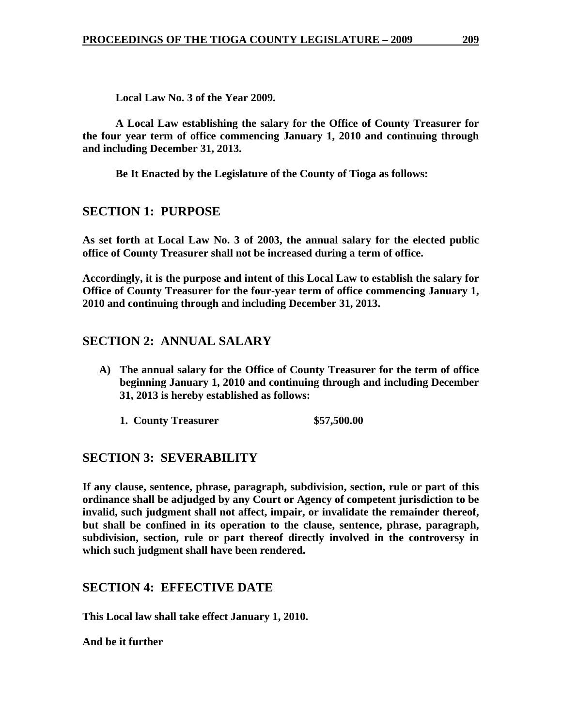**Local Law No. 3 of the Year 2009.** 

**A Local Law establishing the salary for the Office of County Treasurer for the four year term of office commencing January 1, 2010 and continuing through and including December 31, 2013.** 

**Be It Enacted by the Legislature of the County of Tioga as follows:** 

# **SECTION 1: PURPOSE**

**As set forth at Local Law No. 3 of 2003, the annual salary for the elected public office of County Treasurer shall not be increased during a term of office.** 

**Accordingly, it is the purpose and intent of this Local Law to establish the salary for Office of County Treasurer for the four-year term of office commencing January 1, 2010 and continuing through and including December 31, 2013.** 

# **SECTION 2: ANNUAL SALARY**

- **A) The annual salary for the Office of County Treasurer for the term of office beginning January 1, 2010 and continuing through and including December 31, 2013 is hereby established as follows:** 
	- **1. County Treasurer \$57,500.00**

# **SECTION 3: SEVERABILITY**

**If any clause, sentence, phrase, paragraph, subdivision, section, rule or part of this ordinance shall be adjudged by any Court or Agency of competent jurisdiction to be invalid, such judgment shall not affect, impair, or invalidate the remainder thereof, but shall be confined in its operation to the clause, sentence, phrase, paragraph, subdivision, section, rule or part thereof directly involved in the controversy in which such judgment shall have been rendered.** 

## **SECTION 4: EFFECTIVE DATE**

**This Local law shall take effect January 1, 2010.** 

**And be it further**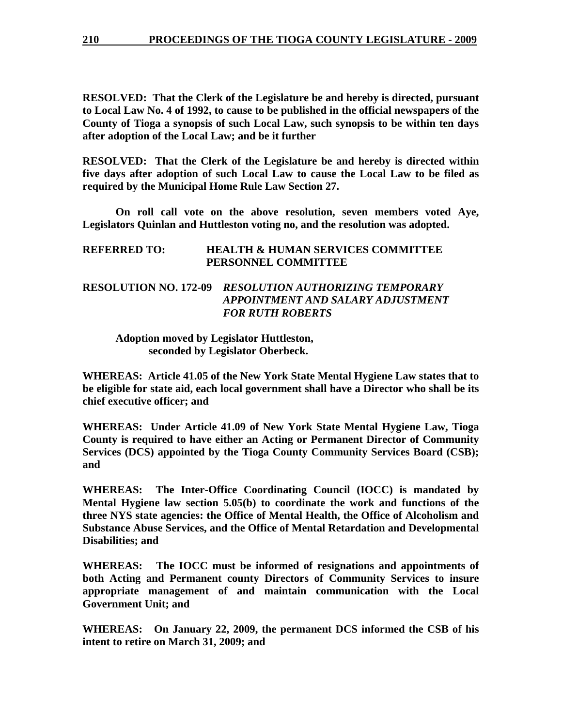**RESOLVED: That the Clerk of the Legislature be and hereby is directed, pursuant to Local Law No. 4 of 1992, to cause to be published in the official newspapers of the County of Tioga a synopsis of such Local Law, such synopsis to be within ten days after adoption of the Local Law; and be it further** 

**RESOLVED: That the Clerk of the Legislature be and hereby is directed within five days after adoption of such Local Law to cause the Local Law to be filed as required by the Municipal Home Rule Law Section 27.** 

 **On roll call vote on the above resolution, seven members voted Aye, Legislators Quinlan and Huttleston voting no, and the resolution was adopted.** 

| <b>REFERRED TO:</b><br><b>HEALTH &amp; HUMAN SERVICES COMMITTEE</b><br>PERSONNEL COMMITTEE |                                                                                                    |  |  |
|--------------------------------------------------------------------------------------------|----------------------------------------------------------------------------------------------------|--|--|
|                                                                                            | <b>RESOLUTION NO. 172-09 RESOLUTION AUTHORIZING TEMPORARY</b><br>APPOINTMENT AND SALARY ADJUSTMENT |  |  |
|                                                                                            | <b>FOR RUTH ROBERTS</b>                                                                            |  |  |

 **Adoption moved by Legislator Huttleston, seconded by Legislator Oberbeck.** 

**WHEREAS: Article 41.05 of the New York State Mental Hygiene Law states that to be eligible for state aid, each local government shall have a Director who shall be its chief executive officer; and** 

**WHEREAS: Under Article 41.09 of New York State Mental Hygiene Law, Tioga County is required to have either an Acting or Permanent Director of Community Services (DCS) appointed by the Tioga County Community Services Board (CSB); and** 

**WHEREAS: The Inter-Office Coordinating Council (IOCC) is mandated by Mental Hygiene law section 5.05(b) to coordinate the work and functions of the three NYS state agencies: the Office of Mental Health, the Office of Alcoholism and Substance Abuse Services, and the Office of Mental Retardation and Developmental Disabilities; and** 

**WHEREAS: The IOCC must be informed of resignations and appointments of both Acting and Permanent county Directors of Community Services to insure appropriate management of and maintain communication with the Local Government Unit; and** 

**WHEREAS: On January 22, 2009, the permanent DCS informed the CSB of his intent to retire on March 31, 2009; and**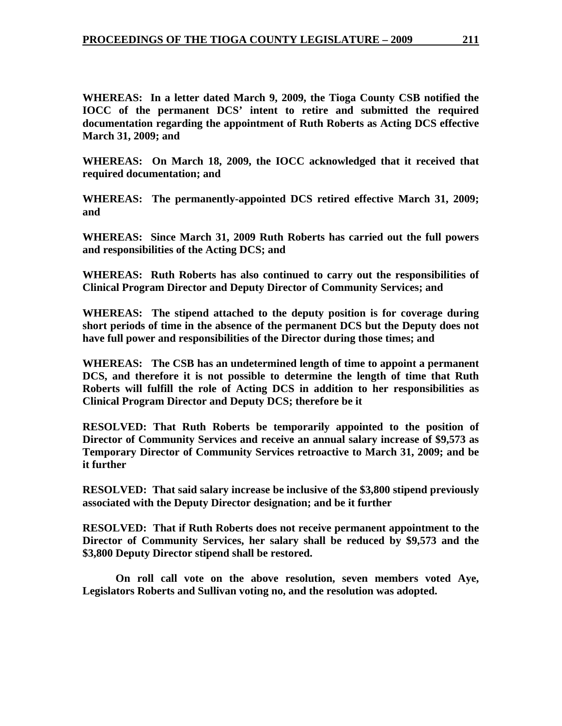**WHEREAS: In a letter dated March 9, 2009, the Tioga County CSB notified the IOCC of the permanent DCS' intent to retire and submitted the required documentation regarding the appointment of Ruth Roberts as Acting DCS effective March 31, 2009; and** 

**WHEREAS: On March 18, 2009, the IOCC acknowledged that it received that required documentation; and** 

**WHEREAS: The permanently-appointed DCS retired effective March 31, 2009; and** 

**WHEREAS: Since March 31, 2009 Ruth Roberts has carried out the full powers and responsibilities of the Acting DCS; and** 

**WHEREAS: Ruth Roberts has also continued to carry out the responsibilities of Clinical Program Director and Deputy Director of Community Services; and** 

**WHEREAS: The stipend attached to the deputy position is for coverage during short periods of time in the absence of the permanent DCS but the Deputy does not have full power and responsibilities of the Director during those times; and** 

**WHEREAS: The CSB has an undetermined length of time to appoint a permanent DCS, and therefore it is not possible to determine the length of time that Ruth Roberts will fulfill the role of Acting DCS in addition to her responsibilities as Clinical Program Director and Deputy DCS; therefore be it** 

**RESOLVED: That Ruth Roberts be temporarily appointed to the position of Director of Community Services and receive an annual salary increase of \$9,573 as Temporary Director of Community Services retroactive to March 31, 2009; and be it further** 

**RESOLVED: That said salary increase be inclusive of the \$3,800 stipend previously associated with the Deputy Director designation; and be it further** 

**RESOLVED: That if Ruth Roberts does not receive permanent appointment to the Director of Community Services, her salary shall be reduced by \$9,573 and the \$3,800 Deputy Director stipend shall be restored.** 

 **On roll call vote on the above resolution, seven members voted Aye, Legislators Roberts and Sullivan voting no, and the resolution was adopted.**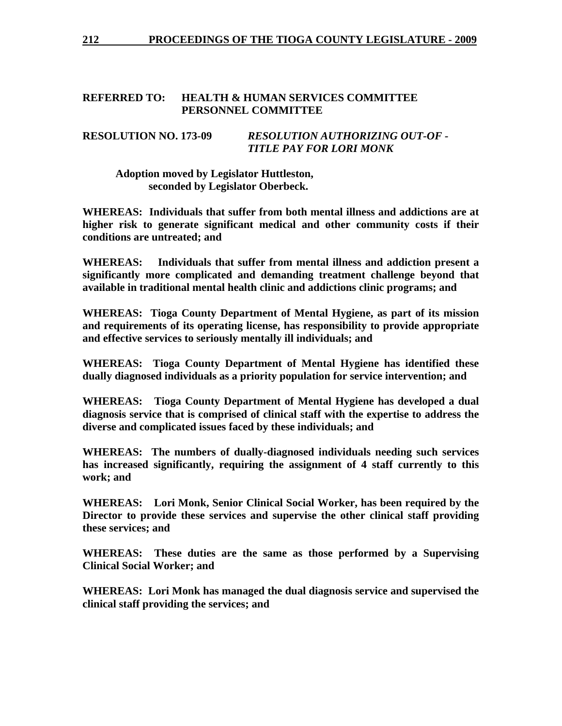## **REFERRED TO: HEALTH & HUMAN SERVICES COMMITTEE PERSONNEL COMMITTEE**

## **RESOLUTION NO. 173-09** *RESOLUTION AUTHORIZING OUT-OF - TITLE PAY FOR LORI MONK*

 **Adoption moved by Legislator Huttleston, seconded by Legislator Oberbeck.** 

**WHEREAS: Individuals that suffer from both mental illness and addictions are at higher risk to generate significant medical and other community costs if their conditions are untreated; and** 

**WHEREAS: Individuals that suffer from mental illness and addiction present a significantly more complicated and demanding treatment challenge beyond that available in traditional mental health clinic and addictions clinic programs; and** 

**WHEREAS: Tioga County Department of Mental Hygiene, as part of its mission and requirements of its operating license, has responsibility to provide appropriate and effective services to seriously mentally ill individuals; and** 

**WHEREAS: Tioga County Department of Mental Hygiene has identified these dually diagnosed individuals as a priority population for service intervention; and** 

**WHEREAS: Tioga County Department of Mental Hygiene has developed a dual diagnosis service that is comprised of clinical staff with the expertise to address the diverse and complicated issues faced by these individuals; and** 

**WHEREAS: The numbers of dually-diagnosed individuals needing such services has increased significantly, requiring the assignment of 4 staff currently to this work; and** 

**WHEREAS: Lori Monk, Senior Clinical Social Worker, has been required by the Director to provide these services and supervise the other clinical staff providing these services; and** 

**WHEREAS: These duties are the same as those performed by a Supervising Clinical Social Worker; and** 

**WHEREAS: Lori Monk has managed the dual diagnosis service and supervised the clinical staff providing the services; and**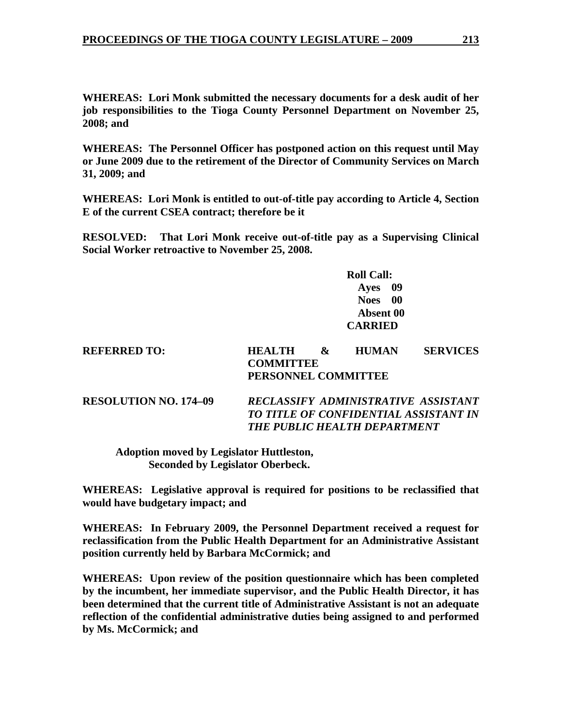**WHEREAS: Lori Monk submitted the necessary documents for a desk audit of her job responsibilities to the Tioga County Personnel Department on November 25, 2008; and** 

**WHEREAS: The Personnel Officer has postponed action on this request until May or June 2009 due to the retirement of the Director of Community Services on March 31, 2009; and** 

**WHEREAS: Lori Monk is entitled to out-of-title pay according to Article 4, Section E of the current CSEA contract; therefore be it** 

**RESOLVED: That Lori Monk receive out-of-title pay as a Supervising Clinical Social Worker retroactive to November 25, 2008.** 

> **Roll Call: Ayes 09 Noes 00 Absent 00 CARRIED**

| <b>REFERRED TO:</b> | <b>HEALTH</b>       | X <sub>x</sub> | <b>HUMAN</b> | <b>SERVICES</b> |
|---------------------|---------------------|----------------|--------------|-----------------|
|                     | <b>COMMITTEE</b>    |                |              |                 |
|                     | PERSONNEL COMMITTEE |                |              |                 |
|                     |                     |                |              |                 |

**RESOLUTION NO. 174–09** *RECLASSIFY ADMINISTRATIVE ASSISTANT TO TITLE OF CONFIDENTIAL ASSISTANT IN THE PUBLIC HEALTH DEPARTMENT* 

 **Adoption moved by Legislator Huttleston, Seconded by Legislator Oberbeck.** 

**WHEREAS: Legislative approval is required for positions to be reclassified that would have budgetary impact; and** 

**WHEREAS: In February 2009, the Personnel Department received a request for reclassification from the Public Health Department for an Administrative Assistant position currently held by Barbara McCormick; and** 

**WHEREAS: Upon review of the position questionnaire which has been completed by the incumbent, her immediate supervisor, and the Public Health Director, it has been determined that the current title of Administrative Assistant is not an adequate reflection of the confidential administrative duties being assigned to and performed by Ms. McCormick; and**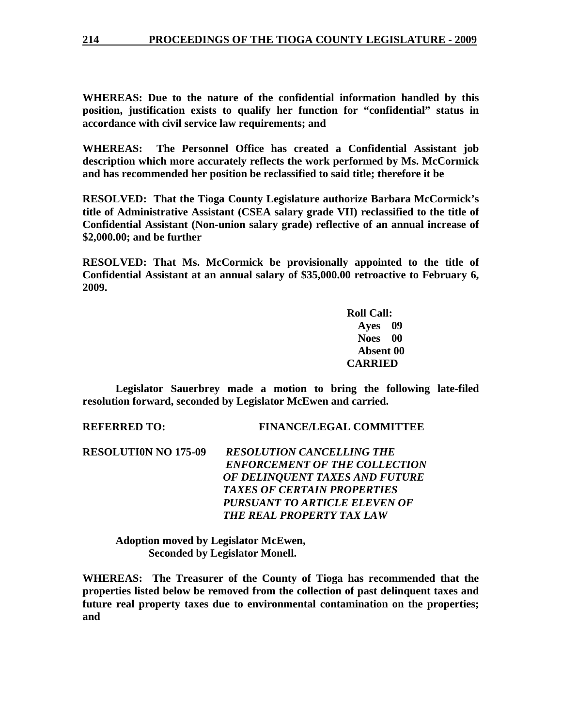**WHEREAS: Due to the nature of the confidential information handled by this position, justification exists to qualify her function for "confidential" status in accordance with civil service law requirements; and** 

**WHEREAS: The Personnel Office has created a Confidential Assistant job description which more accurately reflects the work performed by Ms. McCormick and has recommended her position be reclassified to said title; therefore it be** 

**RESOLVED: That the Tioga County Legislature authorize Barbara McCormick's title of Administrative Assistant (CSEA salary grade VII) reclassified to the title of Confidential Assistant (Non-union salary grade) reflective of an annual increase of \$2,000.00; and be further** 

**RESOLVED: That Ms. McCormick be provisionally appointed to the title of Confidential Assistant at an annual salary of \$35,000.00 retroactive to February 6, 2009.** 

> **Roll Call: Ayes 09 Noes 00 Absent 00 CARRIED**

 **Legislator Sauerbrey made a motion to bring the following late-filed resolution forward, seconded by Legislator McEwen and carried.** 

**REFERRED TO: FINANCE/LEGAL COMMITTEE** 

**RESOLUTI0N NO 175-09** *RESOLUTION CANCELLING THE ENFORCEMENT OF THE COLLECTION OF DELINQUENT TAXES AND FUTURE TAXES OF CERTAIN PROPERTIES PURSUANT TO ARTICLE ELEVEN OF THE REAL PROPERTY TAX LAW* 

**Adoption moved by Legislator McEwen, Seconded by Legislator Monell.** 

**WHEREAS: The Treasurer of the County of Tioga has recommended that the properties listed below be removed from the collection of past delinquent taxes and future real property taxes due to environmental contamination on the properties; and**